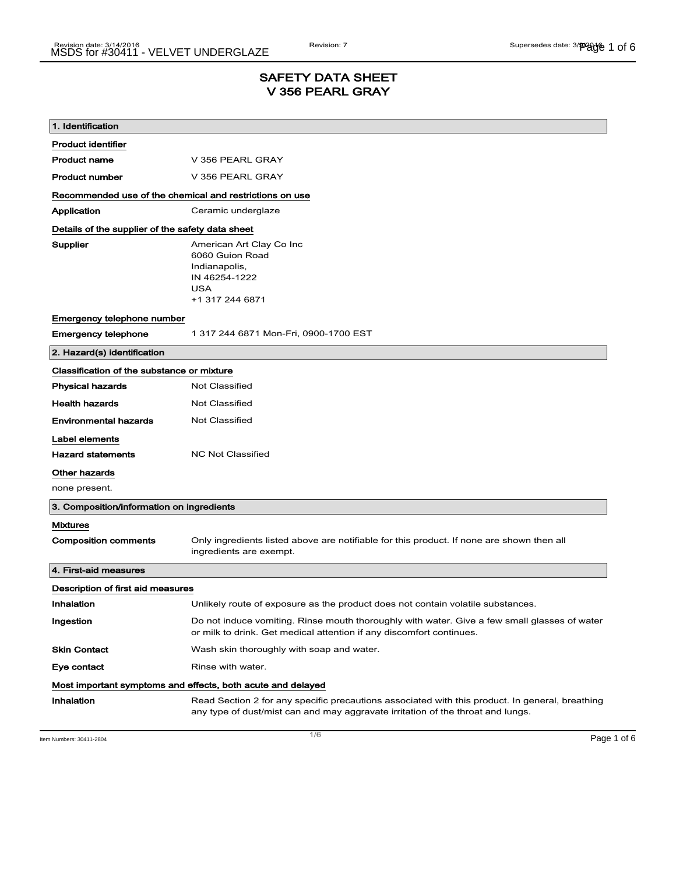# SAFETY DATA SHEET V 356 PEARL GRAY

| 1. Identification                                           |                                                                                                                                                                                    |  |
|-------------------------------------------------------------|------------------------------------------------------------------------------------------------------------------------------------------------------------------------------------|--|
| <b>Product identifier</b>                                   |                                                                                                                                                                                    |  |
| <b>Product name</b>                                         | V 356 PEARL GRAY                                                                                                                                                                   |  |
| <b>Product number</b>                                       | V 356 PEARL GRAY                                                                                                                                                                   |  |
| Recommended use of the chemical and restrictions on use     |                                                                                                                                                                                    |  |
| Application                                                 | Ceramic underglaze                                                                                                                                                                 |  |
| Details of the supplier of the safety data sheet            |                                                                                                                                                                                    |  |
| Supplier                                                    | American Art Clay Co Inc<br>6060 Guion Road<br>Indianapolis,<br>IN 46254-1222<br>USA<br>+1 317 244 6871                                                                            |  |
| Emergency telephone number                                  |                                                                                                                                                                                    |  |
| <b>Emergency telephone</b>                                  | 1 317 244 6871 Mon-Fri, 0900-1700 EST                                                                                                                                              |  |
| 2. Hazard(s) identification                                 |                                                                                                                                                                                    |  |
| Classification of the substance or mixture                  |                                                                                                                                                                                    |  |
| <b>Physical hazards</b>                                     | <b>Not Classified</b>                                                                                                                                                              |  |
| <b>Health hazards</b>                                       | Not Classified                                                                                                                                                                     |  |
| <b>Environmental hazards</b>                                | <b>Not Classified</b>                                                                                                                                                              |  |
| Label elements                                              |                                                                                                                                                                                    |  |
| <b>Hazard statements</b>                                    | <b>NC Not Classified</b>                                                                                                                                                           |  |
| Other hazards                                               |                                                                                                                                                                                    |  |
| none present.                                               |                                                                                                                                                                                    |  |
| 3. Composition/information on ingredients                   |                                                                                                                                                                                    |  |
| <b>Mixtures</b>                                             |                                                                                                                                                                                    |  |
| <b>Composition comments</b>                                 | Only ingredients listed above are notifiable for this product. If none are shown then all<br>ingredients are exempt.                                                               |  |
| 4. First-aid measures                                       |                                                                                                                                                                                    |  |
| Description of first aid measures                           |                                                                                                                                                                                    |  |
| Inhalation                                                  | Unlikely route of exposure as the product does not contain volatile substances.                                                                                                    |  |
| Ingestion                                                   | Do not induce vomiting. Rinse mouth thoroughly with water. Give a few small glasses of water<br>or milk to drink. Get medical attention if any discomfort continues.               |  |
| <b>Skin Contact</b>                                         | Wash skin thoroughly with soap and water.                                                                                                                                          |  |
| Eye contact                                                 | Rinse with water.                                                                                                                                                                  |  |
| Most important symptoms and effects, both acute and delayed |                                                                                                                                                                                    |  |
| Inhalation                                                  | Read Section 2 for any specific precautions associated with this product. In general, breathing<br>any type of dust/mist can and may aggravate irritation of the throat and lungs. |  |

Item Numbers: 30411-2804 **Page 1 of 6**  $\overline{1/6}$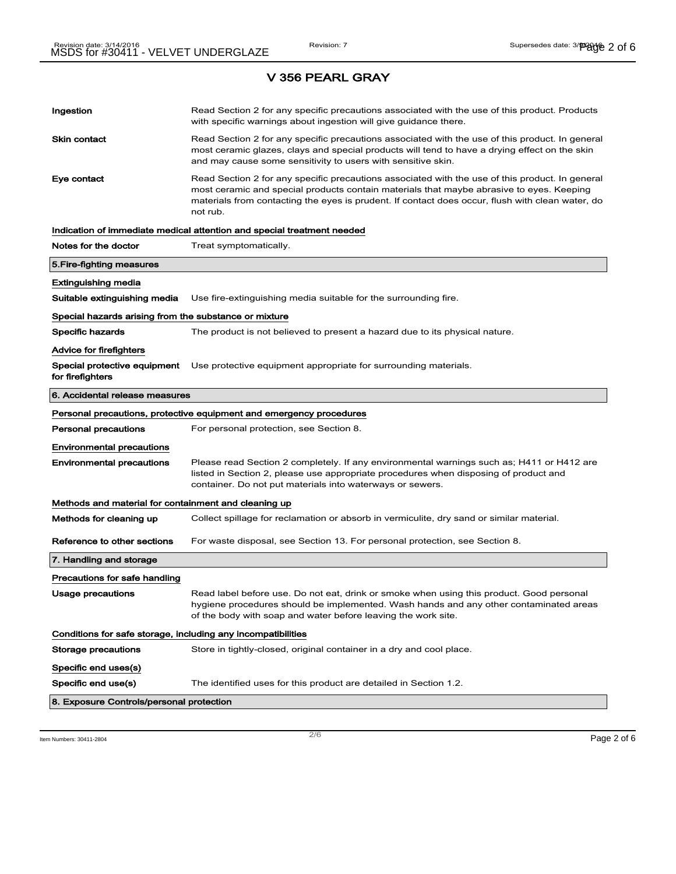V 356 PEARL GRAY

# Ingestion **Read Section 2 for any specific precautions associated with the use of this product. Products** with specific warnings about ingestion will give guidance there. Skin contact **Read Section 2 for any specific precautions associated with the use of this product. In general** most ceramic glazes, clays and special products will tend to have a drying effect on the skin and may cause some sensitivity to users with sensitive skin. Eye contact **Read Section 2 for any specific precautions associated with the use of this product. In general** most ceramic and special products contain materials that maybe abrasive to eyes. Keeping materials from contacting the eyes is prudent. If contact does occur, flush with clean water, do not rub. Indication of immediate medical attention and special treatment needed Notes for the doctor Treat symptomatically. 5.Fire-fighting measures Extinguishing media Suitable extinguishing media Use fire-extinguishing media suitable for the surrounding fire. Special hazards arising from the substance or mixture Specific hazards The product is not believed to present a hazard due to its physical nature. Advice for firefighters Special protective equipment Use protective equipment appropriate for surrounding materials. for firefighters 6. Accidental release measures Personal precautions, protective equipment and emergency procedures Personal precautions For personal protection, see Section 8. Environmental precautions Environmental precautions Please read Section 2 completely. If any environmental warnings such as; H411 or H412 are listed in Section 2, please use appropriate procedures when disposing of product and container. Do not put materials into waterways or sewers. Methods and material for containment and cleaning up Methods for cleaning up Collect spillage for reclamation or absorb in vermiculite, dry sand or similar material. Reference to other sections For waste disposal, see Section 13. For personal protection, see Section 8. 7. Handling and storage Precautions for safe handling Usage precautions **Read label before use. Do not eat, drink or smoke when using this product. Good personal** hygiene procedures should be implemented. Wash hands and any other contaminated areas of the body with soap and water before leaving the work site. Conditions for safe storage, including any incompatibilities Storage precautions Store in tightly-closed, original container in a dry and cool place. Specific end uses(s) Specific end use(s) The identified uses for this product are detailed in Section 1.2. 8. Exposure Controls/personal protection

 $\overline{\phantom{a}}$ ltem Numbers: 30411-2804  $\overline{\phantom{a}}$ Page 2 of 6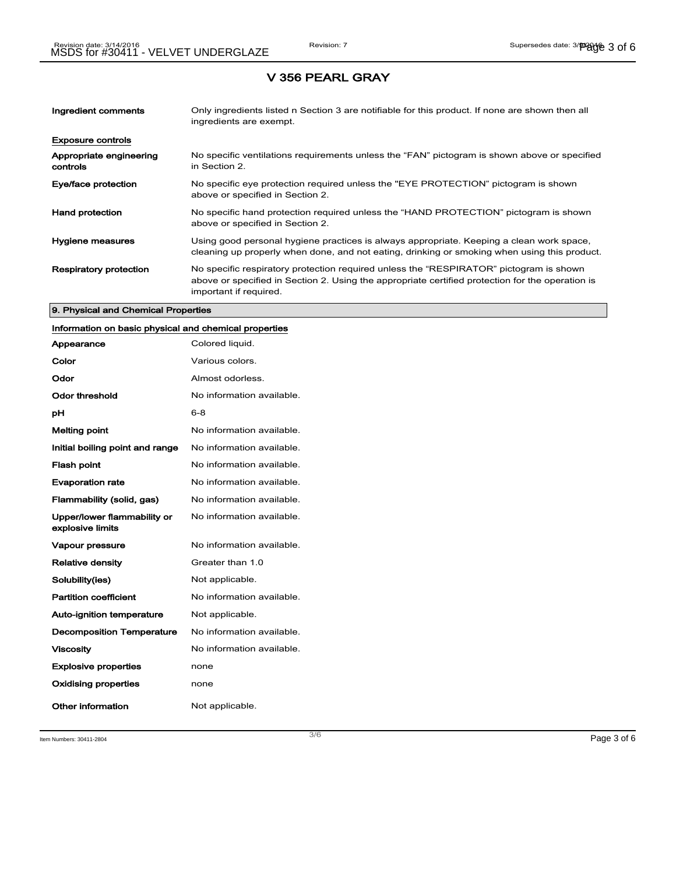### V 356 PEARL GRAY

| Ingredient comments                 | Only ingredients listed n Section 3 are notifiable for this product. If none are shown then all<br>ingredients are exempt.                                                                                           |
|-------------------------------------|----------------------------------------------------------------------------------------------------------------------------------------------------------------------------------------------------------------------|
| <b>Exposure controls</b>            |                                                                                                                                                                                                                      |
| Appropriate engineering<br>controls | No specific ventilations requirements unless the "FAN" pictogram is shown above or specified<br>in Section 2.                                                                                                        |
| Eye/face protection                 | No specific eye protection required unless the "EYE PROTECTION" pictogram is shown<br>above or specified in Section 2.                                                                                               |
| <b>Hand protection</b>              | No specific hand protection required unless the "HAND PROTECTION" pictogram is shown<br>above or specified in Section 2.                                                                                             |
| Hygiene measures                    | Using good personal hygiene practices is always appropriate. Keeping a clean work space,<br>cleaning up properly when done, and not eating, drinking or smoking when using this product.                             |
| <b>Respiratory protection</b>       | No specific respiratory protection required unless the "RESPIRATOR" pictogram is shown<br>above or specified in Section 2. Using the appropriate certified protection for the operation is<br>important if required. |

### 9. Physical and Chemical Properties

# Information on basic physical and chemical properties

| Appearance                                      | Colored liquid.           |
|-------------------------------------------------|---------------------------|
| Color                                           | Various colors.           |
| Odor                                            | Almost odorless.          |
| Odor threshold                                  | No information available. |
| рH                                              | $6 - 8$                   |
| <b>Melting point</b>                            | No information available. |
| Initial boiling point and range                 | No information available. |
| <b>Flash point</b>                              | No information available. |
| <b>Evaporation rate</b>                         | No information available. |
| Flammability (solid, gas)                       | No information available. |
| Upper/lower flammability or<br>explosive limits | No information available. |
| <b>Vapour pressure</b>                          | No information available. |
| <b>Relative density</b>                         | Greater than 1.0          |
| Solubility(ies)                                 | Not applicable.           |
| <b>Partition coefficient</b>                    | No information available. |
| <b>Auto-ignition temperature</b>                | Not applicable.           |
| <b>Decomposition Temperature</b>                | No information available. |
| <b>Viscosity</b>                                | No information available. |
| <b>Explosive properties</b>                     | none                      |
| Oxidising properties                            | none                      |
| Other information                               | Not applicable.           |

Item Numbers:  $30411-2804$   $Page 3 of 6$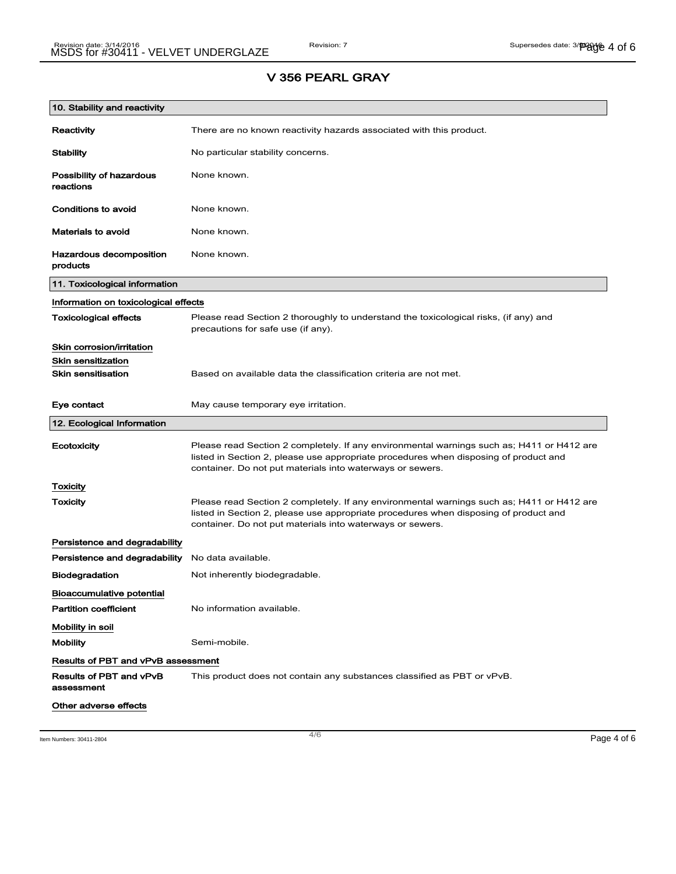## V 356 PEARL GRAY

| 10. Stability and reactivity              |                                                                                                                                                                                                                                                |  |
|-------------------------------------------|------------------------------------------------------------------------------------------------------------------------------------------------------------------------------------------------------------------------------------------------|--|
| Reactivity                                | There are no known reactivity hazards associated with this product.                                                                                                                                                                            |  |
| <b>Stability</b>                          | No particular stability concerns.                                                                                                                                                                                                              |  |
| Possibility of hazardous<br>reactions     | None known.                                                                                                                                                                                                                                    |  |
| Conditions to avoid                       | None known.                                                                                                                                                                                                                                    |  |
| <b>Materials to avoid</b>                 | None known.                                                                                                                                                                                                                                    |  |
| Hazardous decomposition<br>products       | None known.                                                                                                                                                                                                                                    |  |
| 11. Toxicological information             |                                                                                                                                                                                                                                                |  |
| Information on toxicological effects      |                                                                                                                                                                                                                                                |  |
| <b>Toxicological effects</b>              | Please read Section 2 thoroughly to understand the toxicological risks, (if any) and<br>precautions for safe use (if any).                                                                                                                     |  |
| Skin corrosion/irritation                 |                                                                                                                                                                                                                                                |  |
| <b>Skin sensitization</b>                 |                                                                                                                                                                                                                                                |  |
| <b>Skin sensitisation</b>                 | Based on available data the classification criteria are not met.                                                                                                                                                                               |  |
| Eye contact                               | May cause temporary eye irritation.                                                                                                                                                                                                            |  |
| 12. Ecological Information                |                                                                                                                                                                                                                                                |  |
| Ecotoxicity                               | Please read Section 2 completely. If any environmental warnings such as; H411 or H412 are<br>listed in Section 2, please use appropriate procedures when disposing of product and<br>container. Do not put materials into waterways or sewers. |  |
| Toxicity                                  |                                                                                                                                                                                                                                                |  |
| Toxicity                                  | Please read Section 2 completely. If any environmental warnings such as; H411 or H412 are<br>listed in Section 2, please use appropriate procedures when disposing of product and<br>container. Do not put materials into waterways or sewers. |  |
| Persistence and degradability             |                                                                                                                                                                                                                                                |  |
| Persistence and degradability             | No data available.                                                                                                                                                                                                                             |  |
| <b>Biodegradation</b>                     | Not inherently biodegradable.                                                                                                                                                                                                                  |  |
| <b>Bioaccumulative potential</b>          |                                                                                                                                                                                                                                                |  |
| <b>Partition coefficient</b>              | No information available.                                                                                                                                                                                                                      |  |
| Mobility in soil                          |                                                                                                                                                                                                                                                |  |
| <b>Mobility</b>                           | Semi-mobile.                                                                                                                                                                                                                                   |  |
| <b>Results of PBT and vPvB assessment</b> |                                                                                                                                                                                                                                                |  |
| Results of PBT and vPvB<br>assessment     | This product does not contain any substances classified as PBT or vPvB.                                                                                                                                                                        |  |
| Other adverse effects                     |                                                                                                                                                                                                                                                |  |

Item Numbers: 30411-2804 **Page 4 of 6**  $\overline{4/6}$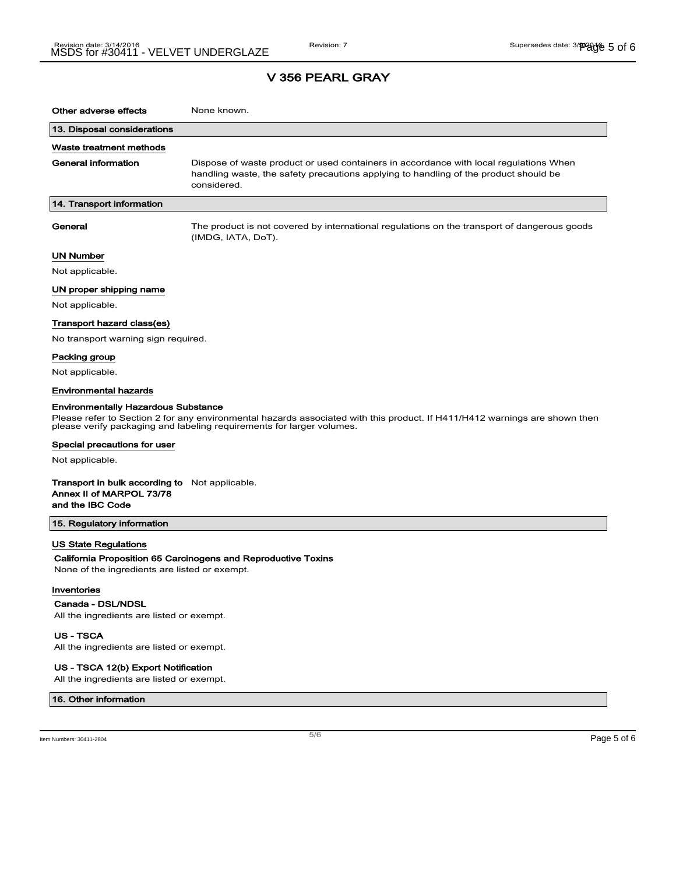## V 356 PEARL GRAY

| Other adverse effects                                                                                                                                                                                                                             | None known.                                                                                                                                                                                  |  |
|---------------------------------------------------------------------------------------------------------------------------------------------------------------------------------------------------------------------------------------------------|----------------------------------------------------------------------------------------------------------------------------------------------------------------------------------------------|--|
| 13. Disposal considerations                                                                                                                                                                                                                       |                                                                                                                                                                                              |  |
| Waste treatment methods                                                                                                                                                                                                                           |                                                                                                                                                                                              |  |
| <b>General information</b>                                                                                                                                                                                                                        | Dispose of waste product or used containers in accordance with local regulations When<br>handling waste, the safety precautions applying to handling of the product should be<br>considered. |  |
| 14. Transport information                                                                                                                                                                                                                         |                                                                                                                                                                                              |  |
| General                                                                                                                                                                                                                                           | The product is not covered by international regulations on the transport of dangerous goods<br>(IMDG, IATA, DoT).                                                                            |  |
| UN Number                                                                                                                                                                                                                                         |                                                                                                                                                                                              |  |
| Not applicable.                                                                                                                                                                                                                                   |                                                                                                                                                                                              |  |
| UN proper shipping name                                                                                                                                                                                                                           |                                                                                                                                                                                              |  |
| Not applicable.                                                                                                                                                                                                                                   |                                                                                                                                                                                              |  |
| Transport hazard class(es)                                                                                                                                                                                                                        |                                                                                                                                                                                              |  |
| No transport warning sign required.                                                                                                                                                                                                               |                                                                                                                                                                                              |  |
| Packing group                                                                                                                                                                                                                                     |                                                                                                                                                                                              |  |
| Not applicable.                                                                                                                                                                                                                                   |                                                                                                                                                                                              |  |
| Environmental hazards                                                                                                                                                                                                                             |                                                                                                                                                                                              |  |
| <b>Environmentally Hazardous Substance</b><br>Please refer to Section 2 for any environmental hazards associated with this product. If H411/H412 warnings are shown then<br>please verify packaging and labeling requirements for larger volumes. |                                                                                                                                                                                              |  |
| Special precautions for user                                                                                                                                                                                                                      |                                                                                                                                                                                              |  |
| Not applicable.                                                                                                                                                                                                                                   |                                                                                                                                                                                              |  |
| <b>Transport in bulk according to</b> Not applicable.<br>Annex II of MARPOL 73/78<br>and the IBC Code                                                                                                                                             |                                                                                                                                                                                              |  |
| 15. Regulatory information                                                                                                                                                                                                                        |                                                                                                                                                                                              |  |
| <b>US State Regulations</b><br>None of the ingredients are listed or exempt.<br>Inventories                                                                                                                                                       | California Proposition 65 Carcinogens and Reproductive Toxins                                                                                                                                |  |
| Canada - DSL/NDSL<br>All the ingredients are listed or exempt.                                                                                                                                                                                    |                                                                                                                                                                                              |  |

US - TSCA

All the ingredients are listed or exempt.

### US - TSCA 12(b) Export Notification

All the ingredients are listed or exempt.

#### 16. Other information